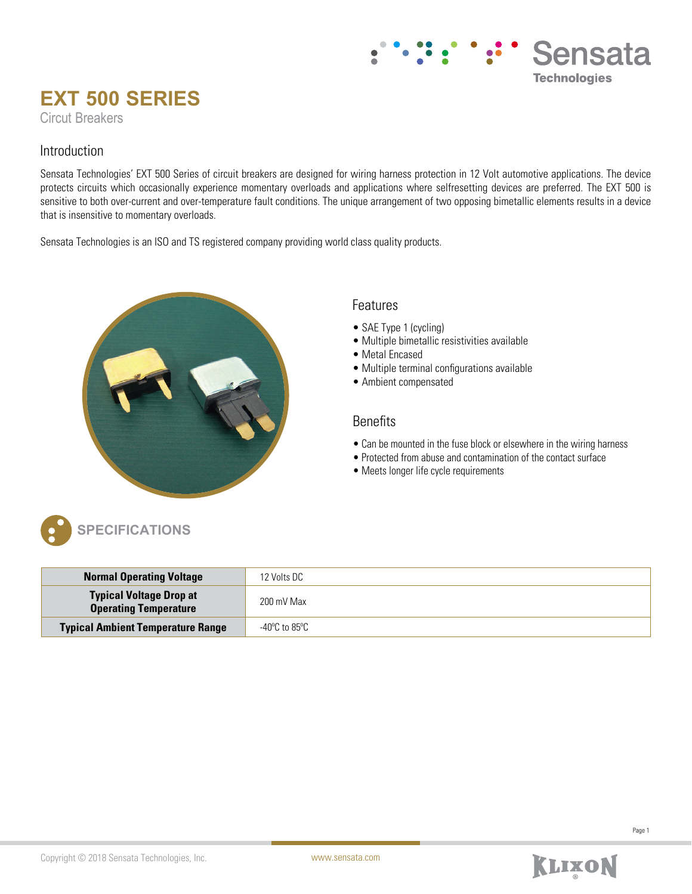## Sensata **Technologies**

# **EXT 500 SERIES**

Circut Breakers

### Introduction

Sensata Technologies' EXT 500 Series of circuit breakers are designed for wiring harness protection in 12 Volt automotive applications. The device protects circuits which occasionally experience momentary overloads and applications where selfresetting devices are preferred. The EXT 500 is sensitive to both over-current and over-temperature fault conditions. The unique arrangement of two opposing bimetallic elements results in a device that is insensitive to momentary overloads.

Sensata Technologies is an ISO and TS registered company providing world class quality products.



## Features

- SAE Type 1 (cycling)
- Multiple bimetallic resistivities available
- Metal Encased
- Multiple terminal configurations available
- Ambient compensated

### Benefits

- Can be mounted in the fuse block or elsewhere in the wiring harness
- Protected from abuse and contamination of the contact surface
- Meets longer life cycle requirements



| <b>Normal Operating Voltage</b>                                | 12 Volts DC   |
|----------------------------------------------------------------|---------------|
| <b>Typical Voltage Drop at</b><br><b>Operating Temperature</b> | 200 mV Max    |
| <b>Typical Ambient Temperature Range</b>                       | -40°C to 85°C |

Page 1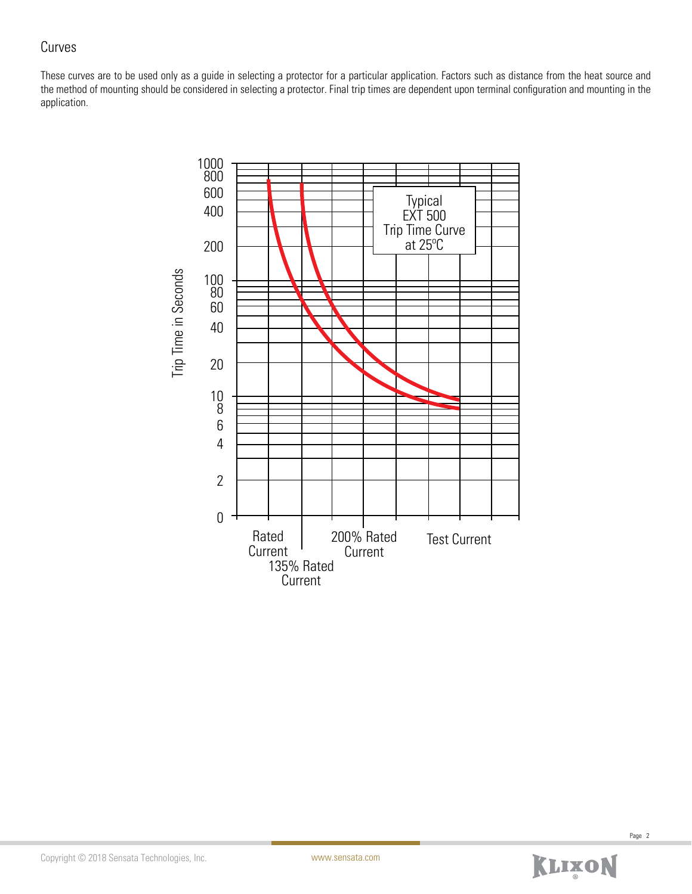## Curves

These curves are to be used only as a guide in selecting a protector for a particular application. Factors such as distance from the heat source and the method of mounting should be considered in selecting a protector. Final trip times are dependent upon terminal configuration and mounting in the application.